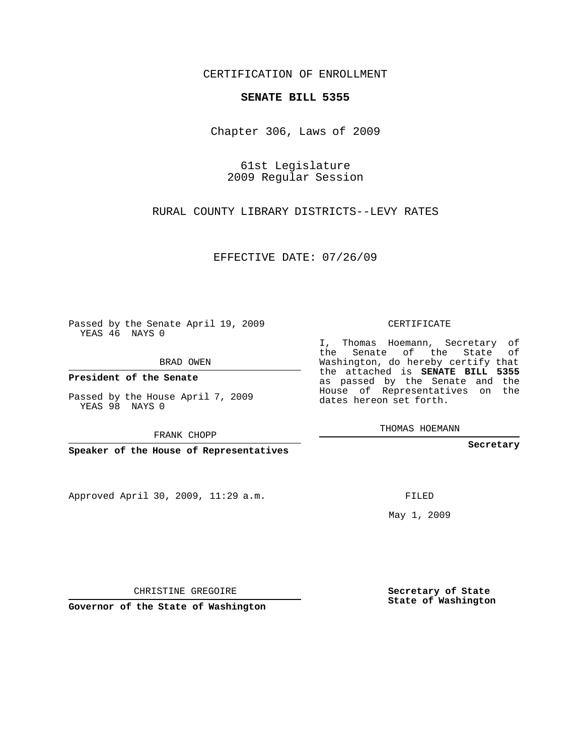CERTIFICATION OF ENROLLMENT

## **SENATE BILL 5355**

Chapter 306, Laws of 2009

61st Legislature 2009 Regular Session

RURAL COUNTY LIBRARY DISTRICTS--LEVY RATES

EFFECTIVE DATE: 07/26/09

Passed by the Senate April 19, 2009 YEAS 46 NAYS 0

BRAD OWEN

**President of the Senate**

Passed by the House April 7, 2009 YEAS 98 NAYS 0

FRANK CHOPP

**Speaker of the House of Representatives**

Approved April 30, 2009, 11:29 a.m.

CERTIFICATE

I, Thomas Hoemann, Secretary of the Senate of the State of Washington, do hereby certify that the attached is **SENATE BILL 5355** as passed by the Senate and the House of Representatives on the dates hereon set forth.

THOMAS HOEMANN

**Secretary**

FILED

May 1, 2009

**Secretary of State State of Washington**

CHRISTINE GREGOIRE

**Governor of the State of Washington**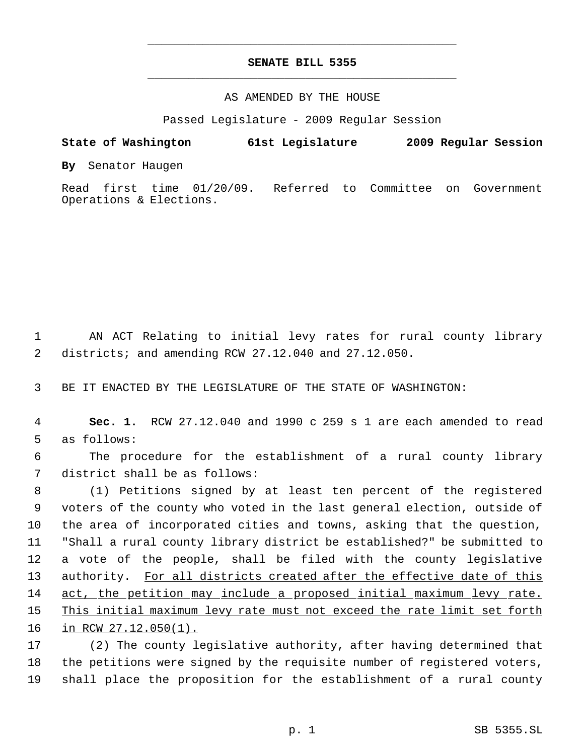## **SENATE BILL 5355** \_\_\_\_\_\_\_\_\_\_\_\_\_\_\_\_\_\_\_\_\_\_\_\_\_\_\_\_\_\_\_\_\_\_\_\_\_\_\_\_\_\_\_\_\_

\_\_\_\_\_\_\_\_\_\_\_\_\_\_\_\_\_\_\_\_\_\_\_\_\_\_\_\_\_\_\_\_\_\_\_\_\_\_\_\_\_\_\_\_\_

## AS AMENDED BY THE HOUSE

Passed Legislature - 2009 Regular Session

## **State of Washington 61st Legislature 2009 Regular Session**

**By** Senator Haugen

Read first time 01/20/09. Referred to Committee on Government Operations & Elections.

 1 AN ACT Relating to initial levy rates for rural county library 2 districts; and amending RCW 27.12.040 and 27.12.050.

3 BE IT ENACTED BY THE LEGISLATURE OF THE STATE OF WASHINGTON:

 4 **Sec. 1.** RCW 27.12.040 and 1990 c 259 s 1 are each amended to read 5 as follows:

 6 The procedure for the establishment of a rural county library 7 district shall be as follows:

 (1) Petitions signed by at least ten percent of the registered voters of the county who voted in the last general election, outside of the area of incorporated cities and towns, asking that the question, "Shall a rural county library district be established?" be submitted to a vote of the people, shall be filed with the county legislative 13 authority. For all districts created after the effective date of this 14 act, the petition may include a proposed initial maximum levy rate. This initial maximum levy rate must not exceed the rate limit set forth in RCW 27.12.050(1).

17 (2) The county legislative authority, after having determined that 18 the petitions were signed by the requisite number of registered voters, 19 shall place the proposition for the establishment of a rural county